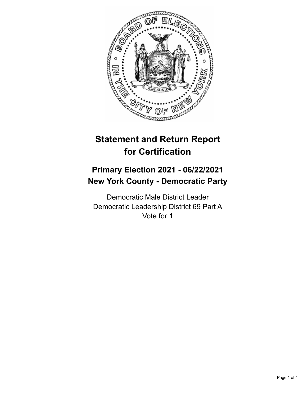

# **Statement and Return Report for Certification**

## **Primary Election 2021 - 06/22/2021 New York County - Democratic Party**

Democratic Male District Leader Democratic Leadership District 69 Part A Vote for 1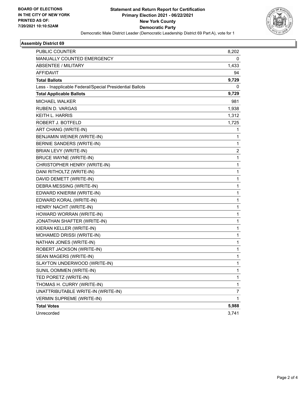

#### **Assembly District 69**

| <b>PUBLIC COUNTER</b>                                    | 8,202        |
|----------------------------------------------------------|--------------|
| MANUALLY COUNTED EMERGENCY                               | 0            |
| <b>ABSENTEE / MILITARY</b>                               | 1,433        |
| <b>AFFIDAVIT</b>                                         | 94           |
| <b>Total Ballots</b>                                     | 9,729        |
| Less - Inapplicable Federal/Special Presidential Ballots | 0            |
| <b>Total Applicable Ballots</b>                          | 9,729        |
| <b>MICHAEL WALKER</b>                                    | 981          |
| <b>RUBEN D. VARGAS</b>                                   | 1,938        |
| <b>KEITH L. HARRIS</b>                                   | 1,312        |
| ROBERT J. BOTFELD                                        | 1,725        |
| ART CHANG (WRITE-IN)                                     | 1            |
| BENJAMIN WEINER (WRITE-IN)                               | 1            |
| BERNIE SANDERS (WRITE-IN)                                | $\mathbf{1}$ |
| BRIAN LEVY (WRITE-IN)                                    | 2            |
| <b>BRUCE WAYNE (WRITE-IN)</b>                            | 1            |
| CHRISTOPHER HENRY (WRITE-IN)                             | $\mathbf{1}$ |
| DANI RITHOLTZ (WRITE-IN)                                 | 1            |
| DAVID DEMETT (WRITE-IN)                                  | 1            |
| DEBRA MESSING (WRITE-IN)                                 | 1            |
| EDWARD KNIERIM (WRITE-IN)                                | 1            |
| EDWARD KORAL (WRITE-IN)                                  | 1            |
| HENRY NACHT (WRITE-IN)                                   | $\mathbf{1}$ |
| HOWARD WORRAN (WRITE-IN)                                 | 1            |
| JONATHAN SHAFTER (WRITE-IN)                              | 1            |
| KIERAN KELLER (WRITE-IN)                                 | 1            |
| MOHAMED DRISSI (WRITE-IN)                                | 1            |
| NATHAN JONES (WRITE-IN)                                  | 1            |
| ROBERT JACKSON (WRITE-IN)                                | $\mathbf{1}$ |
| SEAN MAGERS (WRITE-IN)                                   | 1            |
| SLAYTON UNDERWOOD (WRITE-IN)                             | 1            |
| SUNIL OOMMEN (WRITE-IN)                                  | 1            |
| TED PORETZ (WRITE-IN)                                    | 1            |
| THOMAS H. CURRY (WRITE-IN)                               | 1            |
| UNATTRIBUTABLE WRITE-IN (WRITE-IN)                       | 7            |
| <b>VERMIN SUPREME (WRITE-IN)</b>                         | 1            |
| <b>Total Votes</b>                                       | 5,988        |
| Unrecorded                                               | 3,741        |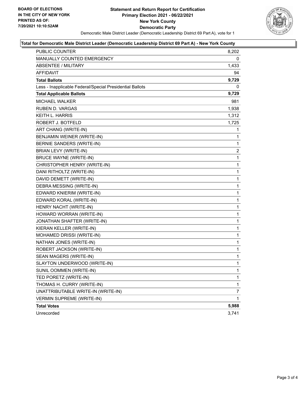

#### **Total for Democratic Male District Leader (Democratic Leadership District 69 Part A) - New York County**

| <b>PUBLIC COUNTER</b>                                    | 8,202        |
|----------------------------------------------------------|--------------|
| MANUALLY COUNTED EMERGENCY                               | 0            |
| <b>ABSENTEE / MILITARY</b>                               | 1,433        |
| AFFIDAVIT                                                | 94           |
| <b>Total Ballots</b>                                     | 9,729        |
| Less - Inapplicable Federal/Special Presidential Ballots | 0            |
| <b>Total Applicable Ballots</b>                          | 9,729        |
| <b>MICHAEL WALKER</b>                                    | 981          |
| <b>RUBEN D. VARGAS</b>                                   | 1,938        |
| KEITH L. HARRIS                                          | 1,312        |
| ROBERT J. BOTFELD                                        | 1,725        |
| ART CHANG (WRITE-IN)                                     | 1            |
| BENJAMIN WEINER (WRITE-IN)                               | 1            |
| BERNIE SANDERS (WRITE-IN)                                | 1            |
| BRIAN LEVY (WRITE-IN)                                    | 2            |
| <b>BRUCE WAYNE (WRITE-IN)</b>                            | $\mathbf{1}$ |
| CHRISTOPHER HENRY (WRITE-IN)                             | 1            |
| DANI RITHOLTZ (WRITE-IN)                                 | 1            |
| DAVID DEMETT (WRITE-IN)                                  | $\mathbf 1$  |
| DEBRA MESSING (WRITE-IN)                                 | 1            |
| EDWARD KNIERIM (WRITE-IN)                                | 1            |
| EDWARD KORAL (WRITE-IN)                                  | $\mathbf 1$  |
| HENRY NACHT (WRITE-IN)                                   | 1            |
| HOWARD WORRAN (WRITE-IN)                                 | 1            |
| JONATHAN SHAFTER (WRITE-IN)                              | $\mathbf 1$  |
| KIERAN KELLER (WRITE-IN)                                 | 1            |
| MOHAMED DRISSI (WRITE-IN)                                | 1            |
| NATHAN JONES (WRITE-IN)                                  | $\mathbf 1$  |
| ROBERT JACKSON (WRITE-IN)                                | 1            |
| SEAN MAGERS (WRITE-IN)                                   | 1            |
| SLAYTON UNDERWOOD (WRITE-IN)                             | $\mathbf 1$  |
| SUNIL OOMMEN (WRITE-IN)                                  | 1            |
| TED PORETZ (WRITE-IN)                                    | 1            |
| THOMAS H. CURRY (WRITE-IN)                               | 1            |
| UNATTRIBUTABLE WRITE-IN (WRITE-IN)                       | 7            |
| <b>VERMIN SUPREME (WRITE-IN)</b>                         | 1            |
| <b>Total Votes</b>                                       | 5,988        |
| Unrecorded                                               | 3,741        |